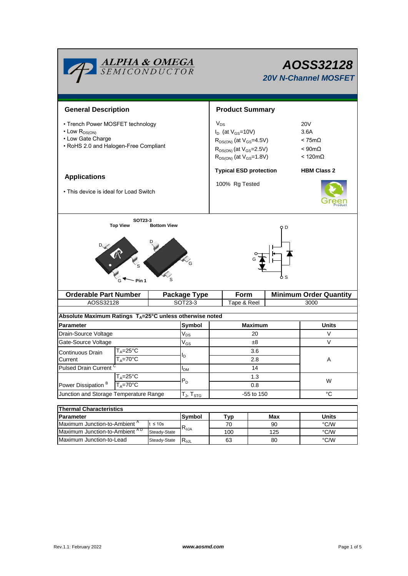| <b>ALPHA &amp; OMEGA</b><br>SEMICONDUCTOR                                                                                  | AOSS32128<br><b>20V N-Channel MOSFET</b> |                                                                                                                                                    |             |      |                                                                                                |                               |  |  |
|----------------------------------------------------------------------------------------------------------------------------|------------------------------------------|----------------------------------------------------------------------------------------------------------------------------------------------------|-------------|------|------------------------------------------------------------------------------------------------|-------------------------------|--|--|
| <b>General Description</b>                                                                                                 |                                          | <b>Product Summary</b>                                                                                                                             |             |      |                                                                                                |                               |  |  |
| • Trench Power MOSFET technology<br>$\cdot$ Low $R_{DS(ON)}$<br>• Low Gate Charge<br>• RoHS 2.0 and Halogen-Free Compliant |                                          | $V_{DS}$<br>$I_D$ (at $V_{GS}$ =10V)<br>$R_{DS(ON)}$ (at $V_{GS}$ =4.5V)<br>$R_{DS(ON)}$ (at $V_{GS}$ =2.5V)<br>$R_{DS(ON)}$ (at $V_{GS} = 1.8V$ ) |             |      | <b>20V</b><br>3.6A<br>$< 75 \text{m}\Omega$<br>$< 90 \text{m}\Omega$<br>$< 120 \text{m}\Omega$ |                               |  |  |
|                                                                                                                            |                                          | <b>Typical ESD protection</b>                                                                                                                      |             |      | <b>HBM Class 2</b>                                                                             |                               |  |  |
| <b>Applications</b><br>• This device is ideal for Load Switch                                                              |                                          | 100% Rg Tested                                                                                                                                     |             |      |                                                                                                |                               |  |  |
| Pin 1                                                                                                                      |                                          |                                                                                                                                                    | ბs          |      |                                                                                                |                               |  |  |
| <b>Orderable Part Number</b>                                                                                               |                                          | <b>Package Type</b>                                                                                                                                |             | Form |                                                                                                | <b>Minimum Order Quantity</b> |  |  |
| AOSS32128                                                                                                                  |                                          | SOT23-3                                                                                                                                            | Tape & Reel |      | 3000                                                                                           |                               |  |  |
| Absolute Maximum Ratings T <sub>A</sub> =25°C unless otherwise noted                                                       |                                          |                                                                                                                                                    |             |      |                                                                                                |                               |  |  |
| <b>Parameter</b>                                                                                                           | Symbol                                   | <b>Maximum</b>                                                                                                                                     |             |      | Units                                                                                          |                               |  |  |
| Drain-Source Voltage                                                                                                       |                                          |                                                                                                                                                    | 20          |      |                                                                                                | V                             |  |  |
| Gate-Source Voltage                                                                                                        |                                          |                                                                                                                                                    | ±8          |      |                                                                                                | V                             |  |  |
| T <sub>A</sub> =25°C<br>Continuous Drain                                                                                   |                                          | $\rm V_{GS}$                                                                                                                                       | 3.6         |      |                                                                                                |                               |  |  |
| $\mathsf{T}_\mathsf{A}\mathsf{=}70^\circ\overline{\mathsf{C}}$<br>Current                                                  |                                          | ΙD                                                                                                                                                 | 2.8         |      |                                                                                                | A                             |  |  |
| <b>Pulsed Drain Current</b>                                                                                                |                                          | $I_{DM}$                                                                                                                                           | 14          |      |                                                                                                |                               |  |  |
| $T_A = 25^\circ C$<br>Power Dissipation <sup>B</sup><br>$T_A = 70^\circ C$                                                 |                                          | $P_D$                                                                                                                                              | 1.3<br>0.8  |      |                                                                                                | W                             |  |  |
| Junction and Storage Temperature Range                                                                                     |                                          | $T_{\sf J}, T_{\sf STG}$                                                                                                                           | -55 to 150  |      |                                                                                                | $^{\circ}{\rm C}$             |  |  |
|                                                                                                                            |                                          |                                                                                                                                                    |             |      |                                                                                                |                               |  |  |
| <b>Thermal Characteristics</b>                                                                                             |                                          |                                                                                                                                                    |             |      |                                                                                                |                               |  |  |
| Parameter                                                                                                                  |                                          | Symbol                                                                                                                                             | <b>Typ</b>  | Max  |                                                                                                | <b>Units</b>                  |  |  |
| Maximum Junction-to-Ambient <sup>A</sup><br>$t \leq 10s$<br>Maximum Junction-to-Ambient AD                                 |                                          | $R_{\theta JA}$                                                                                                                                    | 70          | 90   |                                                                                                | $\degree$ C/W                 |  |  |
|                                                                                                                            | Steady-State                             |                                                                                                                                                    | 100         |      | 125                                                                                            | $\degree$ C/W                 |  |  |

Steady-State  $R_{\theta$ JL

Maximum Junction-to-Lead Steady-State R<sub>ell</sub> 63 80 80 °C/W

63

80

٦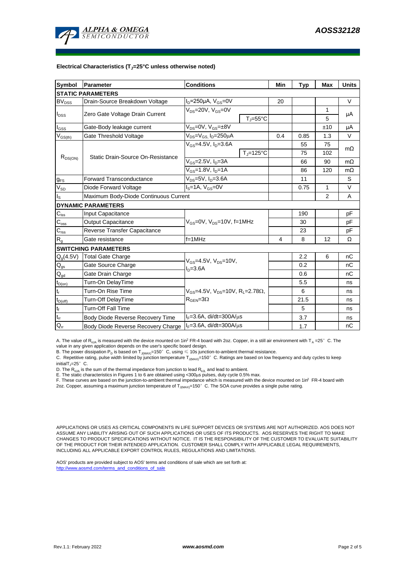

#### **Electrical Characteristics (TJ=25°C unless otherwise noted)**

| Symbol                      | Parameter                             | <b>Conditions</b>                                              |                     | Min  | <b>Typ</b> | Max          | <b>Units</b> |  |  |  |  |  |
|-----------------------------|---------------------------------------|----------------------------------------------------------------|---------------------|------|------------|--------------|--------------|--|--|--|--|--|
| <b>STATIC PARAMETERS</b>    |                                       |                                                                |                     |      |            |              |              |  |  |  |  |  |
| $BV_{DSS}$                  | Drain-Source Breakdown Voltage        | $I_D = 250 \mu A$ , $V_{GS} = 0V$                              |                     | 20   |            |              | V            |  |  |  |  |  |
| $I_{\text{DSS}}$            | Zero Gate Voltage Drain Current       | $V_{DS}$ =20V, $V_{GS}$ =0V                                    |                     |      |            | 1            |              |  |  |  |  |  |
|                             |                                       |                                                                | $T_J = 55^{\circ}C$ |      |            | 5            | μA           |  |  |  |  |  |
| $I_{GSS}$                   | Gate-Body leakage current             | $V_{DS} = 0V$ , $V_{GS} = \pm 8V$                              |                     |      |            | ±10          | μA           |  |  |  |  |  |
| $V_{GS(th)}$                | Gate Threshold Voltage                | V <sub>DS</sub> =V <sub>GS.</sub> I <sub>D</sub> =250µA        |                     | 0.4  | 0.85       | 1.3          | V            |  |  |  |  |  |
| $R_{DS(ON)}$                | Static Drain-Source On-Resistance     | $V_{GS} = 4.5V$ , $I_D = 3.6A$                                 |                     |      | 55         | 75           | $m\Omega$    |  |  |  |  |  |
|                             |                                       |                                                                | $T_i = 125$ °C      |      | 75         | 102          |              |  |  |  |  |  |
|                             |                                       | $V_{GS}$ =2.5V, $I_D$ =3A                                      |                     |      | 66         | 90           | $m\Omega$    |  |  |  |  |  |
|                             |                                       | $V_{GS} = 1.8V, I_D = 1A$                                      |                     |      | 86         | 120          | $m\Omega$    |  |  |  |  |  |
| $g_{FS}$                    | <b>Forward Transconductance</b>       | V <sub>ns</sub> =5V, I <sub>n</sub> =3.6A                      |                     |      | 11         |              | S            |  |  |  |  |  |
| $V_{SD}$                    | Diode Forward Voltage                 | $IS=1A, VGS=0V$                                                |                     |      | 0.75       | $\mathbf{1}$ | V            |  |  |  |  |  |
| $I_{\rm S}$                 | Maximum Body-Diode Continuous Current |                                                                |                     |      |            | 2            | Α            |  |  |  |  |  |
|                             | <b>DYNAMIC PARAMETERS</b>             |                                                                |                     |      |            |              |              |  |  |  |  |  |
| $\mathbf{C}_{\text{iss}}$   | Input Capacitance                     |                                                                |                     |      | 190        |              | рF           |  |  |  |  |  |
| $C_{\rm oss}$               | Output Capacitance                    | V <sub>GS</sub> =0V, V <sub>DS</sub> =10V, f=1MHz              |                     |      | 30         |              | pF           |  |  |  |  |  |
| $\mathbf{C}_{\mathrm{rss}}$ | Reverse Transfer Capacitance          |                                                                |                     |      | 23         |              | рF           |  |  |  |  |  |
| $R_{g}$                     | Gate resistance                       | $f = 1$ MHz                                                    | 4                   | 8    | 12         | Ω            |              |  |  |  |  |  |
|                             | <b>SWITCHING PARAMETERS</b>           |                                                                |                     |      |            |              |              |  |  |  |  |  |
| $Q_g(4.5V)$                 | <b>Total Gate Charge</b>              | $V_{GS} = 4.5V$ , $V_{DS} = 10V$ ,<br>$ID=3.6A$                |                     |      | 2.2        | 6            | nC           |  |  |  |  |  |
| $\mathbf{Q}_\text{gs}$      | Gate Source Charge                    |                                                                |                     |      | 0.2        |              | nC           |  |  |  |  |  |
| $Q_{gd}$                    | Gate Drain Charge                     |                                                                |                     |      | 0.6        |              | пC           |  |  |  |  |  |
| $t_{D(on)}$                 | Turn-On DelayTime                     | $V_{GS}$ =4.5V, $V_{DS}$ =10V, R <sub>1</sub> =2.78 $\Omega$ , |                     |      | 5.5        |              | ns           |  |  |  |  |  |
| $t_r$                       | Turn-On Rise Time                     |                                                                |                     |      | 6          |              | ns           |  |  |  |  |  |
| $t_{D(off)}$                | Turn-Off DelayTime                    | $R_{\text{GEN}} = 3\Omega$                                     |                     | 21.5 |            | ns           |              |  |  |  |  |  |
| $\mathbf{t}_\text{f}$       | <b>Turn-Off Fall Time</b>             |                                                                |                     | 5    |            | ns           |              |  |  |  |  |  |
| $\mathfrak{t}_{\text{rr}}$  | Body Diode Reverse Recovery Time      | $I_F = 3.6A$ , di/dt=300A/ $\mu$ s                             |                     | 3.7  |            | ns           |              |  |  |  |  |  |
| $Q_{rr}$                    | Body Diode Reverse Recovery Charge    | $I_F = 3.6A$ , di/dt=300A/ $\mu$ s                             |                     |      | 1.7        |              | nC           |  |  |  |  |  |

A. The value of R<sub>0JA</sub> is measured with the device mounted on 1in<sup>2</sup> FR-4 board with 2oz. Copper, in a still air environment with T<sub>A</sub> =25°C. The value in any given application depends on the user's specific board design.

B. The power dissipation  ${\sf P}_{\sf D}$  is based on  ${\sf T}_{\sf J(MAX)}$ =150 $^\circ\,$  C, using  $\leqslant$  10s junction-to-ambient thermal resistance.

C. Repetitive rating, pulse width limited by junction temperature T $_{\rm J(MAX)}$ =150°C. Ratings are based on low frequency and duty cycles to keep

 $initialT = 25^\circ$  C.

D. The R<sub>eJA</sub> is the sum of the thermal impedance from junction to lead R<sub>eJL</sub> and lead to ambient.<br>E. The static characteristics in Figures 1 to 6 are obtained using <300µs pulses, duty cycle 0.5% max.<br>F. These curves ar

2oz. Copper, assuming a maximum junction temperature of T<sub>J(MAX)</sub>=150°C. The SOA curve provides a single pulse rating.

APPLICATIONS OR USES AS CRITICAL COMPONENTS IN LIFE SUPPORT DEVICES OR SYSTEMS ARE NOT AUTHORIZED. AOS DOES NOT ASSUME ANY LIABILITY ARISING OUT OF SUCH APPLICATIONS OR USES OF ITS PRODUCTS. AOS RESERVES THE RIGHT TO MAKE CHANGES TO PRODUCT SPECIFICATIONS WITHOUT NOTICE. IT IS THE RESPONSIBILITY OF THE CUSTOMER TO EVALUATE SUITABILITY OF THE PRODUCT FOR THEIR INTENDED APPLICATION. CUSTOMER SHALL COMPLY WITH APPLICABLE LEGAL REQUIREMENTS, INCLUDING ALL APPLICABLE EXPORT CONTROL RULES, REGULATIONS AND LIMITATIONS.

AOS' products are provided subject to AOS' terms and conditions of sale which are set forth at: http://www.aosmd.com/terms\_and\_conditions\_of\_sale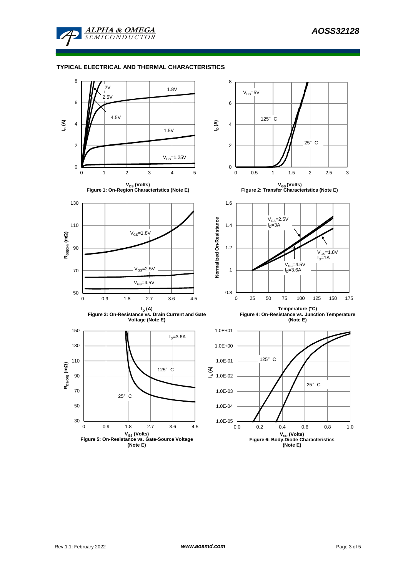

### **TYPICAL ELECTRICAL AND THERMAL CHARACTERISTICS**

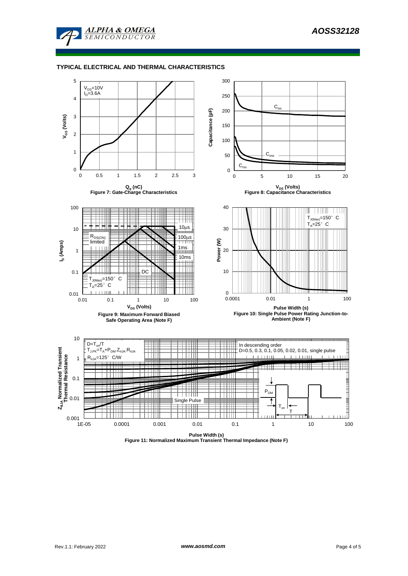

### **TYPICAL ELECTRICAL AND THERMAL CHARACTERISTICS**